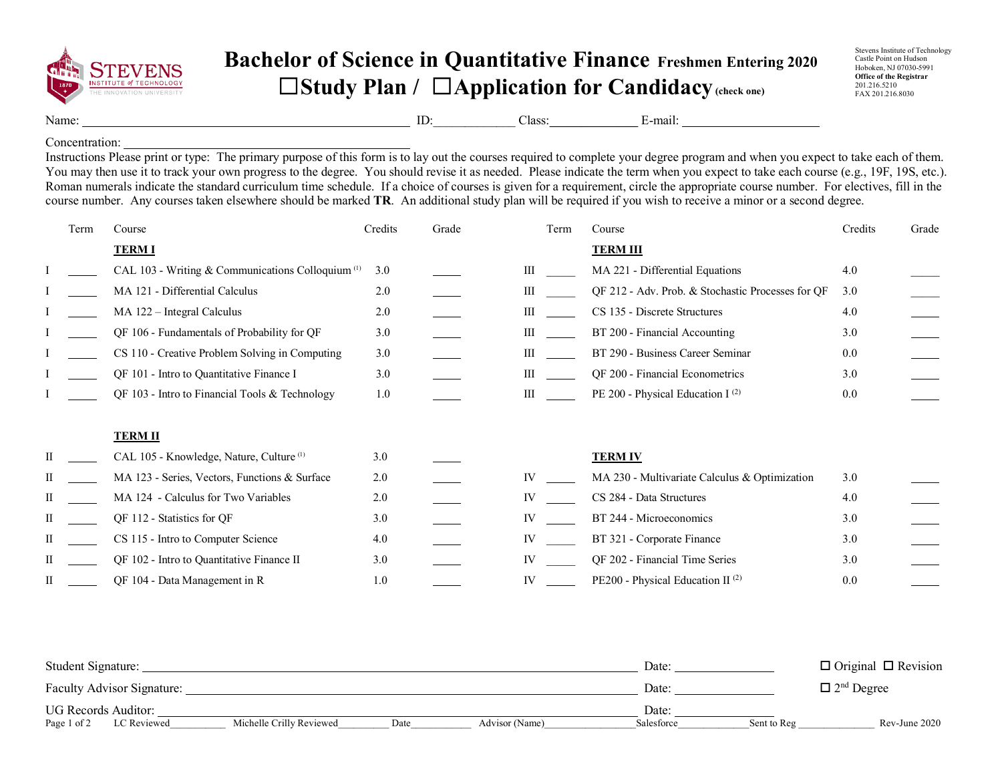

## **Bachelor of Science in Quantitative Finance Freshmen Entering 2020** ☐**Study Plan /** ☐**Application for Candidacy(check one)**

Stevens Institute of Technology Castle Point on Hudson Hoboken, NJ 07030-5991 **Office of the Registrar** 201.216.5210 FAX 201.216.8030

Name: ID: Class: E-mail: E-mail:

Concentration:

Instructions Please print or type: The primary purpose of this form is to lay out the courses required to complete your degree program and when you expect to take each of them. You may then use it to track your own progress to the degree. You should revise it as needed. Please indicate the term when you expect to take each course (e.g., 19F, 19S, etc.). Roman numerals indicate the standard curriculum time schedule. If a choice of courses is given for a requirement, circle the appropriate course number. For electives, fill in the course number. Any courses taken elsewhere should be marked **TR**. An additional study plan will be required if you wish to receive a minor or a second degree.

|   | Term | Course                                                       | Credits | Grade | Term<br>Course |  | Credits                                           | Grade |  |
|---|------|--------------------------------------------------------------|---------|-------|----------------|--|---------------------------------------------------|-------|--|
|   |      | <b>TERMI</b>                                                 |         |       |                |  | <b>TERM III</b>                                   |       |  |
|   |      | CAL 103 - Writing & Communications Colloquium <sup>(1)</sup> | 3.0     |       | Ш              |  | MA 221 - Differential Equations                   | 4.0   |  |
|   |      | MA 121 - Differential Calculus                               | 2.0     |       | Ш              |  | QF 212 - Adv. Prob. & Stochastic Processes for QF | 3.0   |  |
|   |      | MA 122 - Integral Calculus                                   | 2.0     |       | Ш              |  | CS 135 - Discrete Structures                      | 4.0   |  |
|   |      | QF 106 - Fundamentals of Probability for QF                  | 3.0     |       | Ш              |  | BT 200 - Financial Accounting                     | 3.0   |  |
|   |      | CS 110 - Creative Problem Solving in Computing               | 3.0     |       | Ш              |  | BT 290 - Business Career Seminar                  | 0.0   |  |
|   |      | QF 101 - Intro to Quantitative Finance I                     | 3.0     |       | Ш              |  | QF 200 - Financial Econometrics                   | 3.0   |  |
|   |      | QF 103 - Intro to Financial Tools & Technology               | 1.0     |       | Ш              |  | PE 200 - Physical Education I <sup>(2)</sup>      | 0.0   |  |
|   |      |                                                              |         |       |                |  |                                                   |       |  |
|   |      | <b>TERM II</b>                                               |         |       |                |  |                                                   |       |  |
| Π |      | CAL 105 - Knowledge, Nature, Culture <sup>(1)</sup>          | 3.0     |       |                |  | <b>TERM IV</b>                                    |       |  |
|   |      | MA 123 - Series, Vectors, Functions & Surface                | 2.0     |       | IV             |  | MA 230 - Multivariate Calculus & Optimization     | 3.0   |  |
| П |      | MA 124 - Calculus for Two Variables                          | 2.0     |       | IV             |  | CS 284 - Data Structures                          | 4.0   |  |
| П |      | QF 112 - Statistics for QF                                   | 3.0     |       | IV             |  | BT 244 - Microeconomics                           | 3.0   |  |
| Н |      | CS 115 - Intro to Computer Science                           | 4.0     |       | IV             |  | BT 321 - Corporate Finance                        | 3.0   |  |
| Н |      | QF 102 - Intro to Quantitative Finance II                    | 3.0     |       | IV             |  | QF 202 - Financial Time Series                    | 3.0   |  |
| П |      | QF 104 - Data Management in R                                | 1.0     |       | IV             |  | PE200 - Physical Education II <sup>(2)</sup>      | 0.0   |  |

| Student Signature:         |                          |      |                | Date:      |             | $\Box$ Original $\Box$ Revision |
|----------------------------|--------------------------|------|----------------|------------|-------------|---------------------------------|
| Faculty Advisor Signature: |                          |      |                | Date:      |             | $\Box$ 2 <sup>nd</sup> Degree   |
| <b>UG Records Auditor:</b> |                          |      |                | Date:      |             |                                 |
| Page 1 of 2<br>LC Reviewed | Michelle Crilly Reviewed | Date | Advisor (Name) | Salesforce | Sent to Reg | Rev-June 2020                   |